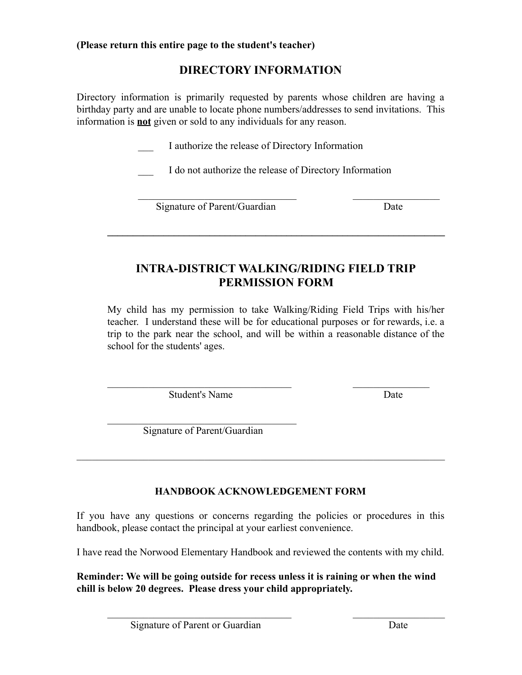**(Please return this entire page to the student's teacher)**

# **DIRECTORY INFORMATION**

Directory information is primarily requested by parents whose children are having a birthday party and are unable to locate phone numbers/addresses to send invitations. This information is **not** given or sold to any individuals for any reason.

\_\_\_ I authorize the release of Directory Information

\_\_\_ I do not authorize the release of Directory Information

 $\mathcal{L}_\text{max}$  and the contract of the contract of the contract of the contract of the contract of the contract of the contract of the contract of the contract of the contract of the contract of the contract of the contrac

Signature of Parent/Guardian Date

# **INTRA-DISTRICT WALKING/RIDING FIELD TRIP PERMISSION FORM**

 $\mathcal{L} = \{ \mathcal{L} \mathcal{L} \mathcal{L} \mathcal{L} \mathcal{L} \mathcal{L} \mathcal{L} \mathcal{L} \mathcal{L} \mathcal{L} \mathcal{L} \mathcal{L} \mathcal{L} \mathcal{L} \mathcal{L} \mathcal{L} \mathcal{L} \mathcal{L} \mathcal{L} \mathcal{L} \mathcal{L} \mathcal{L} \mathcal{L} \mathcal{L} \mathcal{L} \mathcal{L} \mathcal{L} \mathcal{L} \mathcal{L} \mathcal{L} \mathcal{L} \mathcal{L} \mathcal{L} \mathcal{L} \mathcal{L} \$ 

My child has my permission to take Walking/Riding Field Trips with his/her teacher. I understand these will be for educational purposes or for rewards, i.e. a trip to the park near the school, and will be within a reasonable distance of the school for the students' ages.

 $\mathcal{L}_\text{max}$  and the contract of the contract of the contract of the contract of the contract of the contract of the contract of the contract of the contract of the contract of the contract of the contract of the contrac

Student's Name Date

 $\mathcal{L}_\text{max}$ Signature of Parent/Guardian

# **HANDBOOK ACKNOWLEDGEMENT FORM**

 $\mathcal{L}_\text{max} = \mathcal{L}_\text{max} = \mathcal{L}_\text{max} = \mathcal{L}_\text{max} = \mathcal{L}_\text{max} = \mathcal{L}_\text{max} = \mathcal{L}_\text{max} = \mathcal{L}_\text{max} = \mathcal{L}_\text{max} = \mathcal{L}_\text{max} = \mathcal{L}_\text{max} = \mathcal{L}_\text{max} = \mathcal{L}_\text{max} = \mathcal{L}_\text{max} = \mathcal{L}_\text{max} = \mathcal{L}_\text{max} = \mathcal{L}_\text{max} = \mathcal{L}_\text{max} = \mathcal{$ 

If you have any questions or concerns regarding the policies or procedures in this handbook, please contact the principal at your earliest convenience.

I have read the Norwood Elementary Handbook and reviewed the contents with my child.

**Reminder: We will be going outside for recess unless it is raining or when the wind chill is below 20 degrees. Please dress your child appropriately.**

 $\mathcal{L}_\text{max}$  and the contract of the contract of the contract of the contract of the contract of the contract of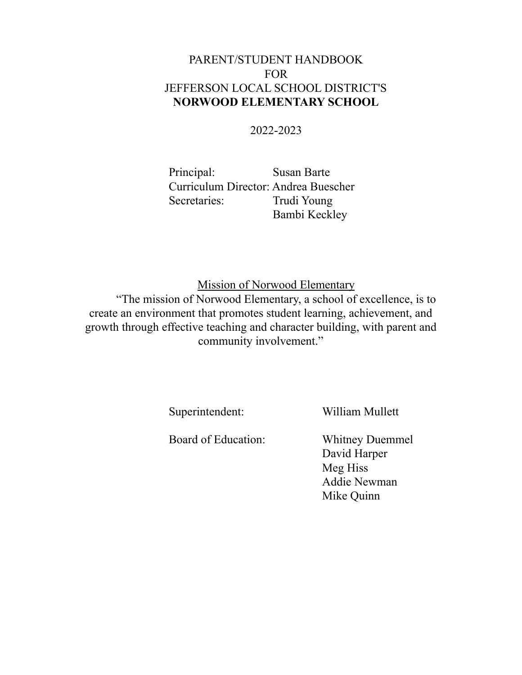# PARENT/STUDENT HANDBOOK FOR JEFFERSON LOCAL SCHOOL DISTRICT'S **NORWOOD ELEMENTARY SCHOOL**

# 2022-2023

Principal: Susan Barte Curriculum Director: Andrea Buescher Secretaries: Trudi Young Bambi Keckley

Mission of Norwood Elementary

"The mission of Norwood Elementary, a school of excellence, is to create an environment that promotes student learning, achievement, and growth through effective teaching and character building, with parent and community involvement."

Superintendent: William Mullett

Board of Education: Whitney Duemmel

David Harper Meg Hiss Addie Newman Mike Quinn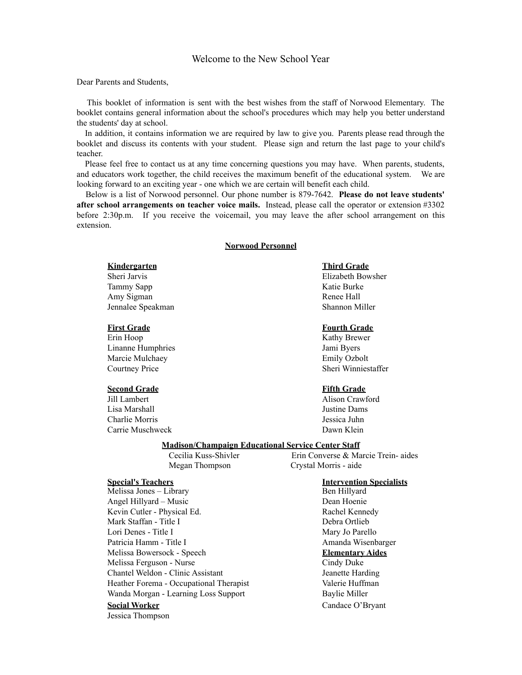#### Welcome to the New School Year

#### Dear Parents and Students,

This booklet of information is sent with the best wishes from the staff of Norwood Elementary. The booklet contains general information about the school's procedures which may help you better understand the students' day at school.

In addition, it contains information we are required by law to give you. Parents please read through the booklet and discuss its contents with your student. Please sign and return the last page to your child's teacher.

Please feel free to contact us at any time concerning questions you may have. When parents, students, and educators work together, the child receives the maximum benefit of the educational system. We are looking forward to an exciting year - one which we are certain will benefit each child.

Below is a list of Norwood personnel. Our phone number is 879-7642. **Please do not leave students' after school arrangements on teacher voice mails.** Instead, please call the operator or extension #3302 before 2:30p.m. If you receive the voicemail, you may leave the after school arrangement on this extension.

#### **Norwood Personnel**

Tammy Sapp Katie Burke Amy Sigman Renee Hall Jennalee Speakman Shannon Miller

Erin Hoop Kathy Brewer Linanne Humphries Jami Byers Marcie Mulchaey **Emily Ozbolt** Courtney Price Sheri Winniestaffer

#### **Second Grade Fifth Grade**

Jill Lambert Alison Crawford Lisa Marshall Justine Dams Charlie Morris Jessica Juhn Carrie Muschweck Dawn Klein

#### **Kindergarten Third Grade**

Sheri Jarvis Elizabeth Bowsher

#### **First Grade Fourth Grade**

#### **Madison/Champaign Educational Service Center Staff**

Cecilia Kuss-Shivler Erin Converse & Marcie Trein- aides Megan Thompson Crystal Morris - aide

**Special's Teachers Intervention Specialists** Melissa Jones – Library Angel Hillyard – Music Dean Hoenie Kevin Cutler - Physical Ed. Rachel Kennedy Mark Staffan - Title I Debra Ortlieb Lori Denes - Title I Mary Jo Parello Patricia Hamm - Title I and a Wisenbarger Melissa Bowersock - Speech **Elementary Aides** Melissa Ferguson - Nurse Cindy Duke Chantel Weldon - Clinic Assistant Jeanette Harding Heather Forema - Occupational Therapist Valerie Huffman Wanda Morgan - Learning Loss Support Baylie Miller **Social Worker** Candace O'Bryant

Jessica Thompson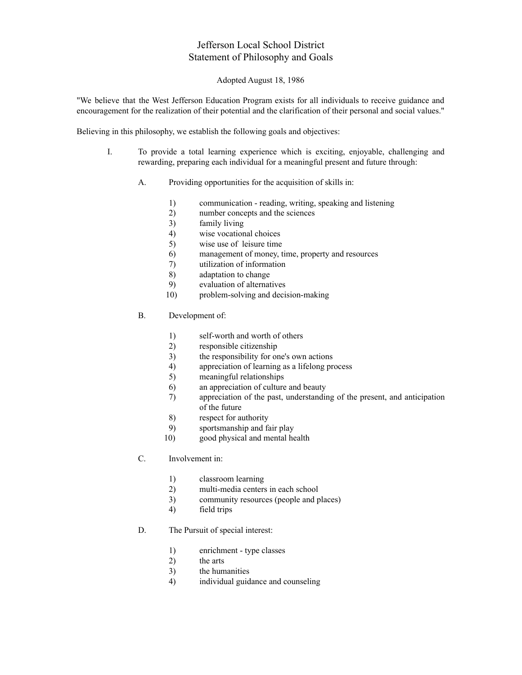### Jefferson Local School District Statement of Philosophy and Goals

#### Adopted August 18, 1986

"We believe that the West Jefferson Education Program exists for all individuals to receive guidance and encouragement for the realization of their potential and the clarification of their personal and social values."

Believing in this philosophy, we establish the following goals and objectives:

- I. To provide a total learning experience which is exciting, enjoyable, challenging and rewarding, preparing each individual for a meaningful present and future through:
	- A. Providing opportunities for the acquisition of skills in:
		- 1) communication reading, writing, speaking and listening
		- 2) number concepts and the sciences
		- 3) family living
		- 4) wise vocational choices
		- 5) wise use of leisure time
		- 6) management of money, time, property and resources
		- 7) utilization of information
		- 8) adaptation to change
		- 9) evaluation of alternatives
		- 10) problem-solving and decision-making
	- B. Development of:
		- 1) self-worth and worth of others
		- 2) responsible citizenship
		- 3) the responsibility for one's own actions
		- 4) appreciation of learning as a lifelong process
		- 5) meaningful relationships
		- 6) an appreciation of culture and beauty
		- 7) appreciation of the past, understanding of the present, and anticipation of the future
		- 8) respect for authority
		- 9) sportsmanship and fair play
		- 10) good physical and mental health
	- C. Involvement in:
		- 1) classroom learning
		- 2) multi-media centers in each school
		- 3) community resources (people and places)
		- 4) field trips
	- D. The Pursuit of special interest:
		- 1) enrichment type classes
		- 2) the arts
		- 3) the humanities
		- 4) individual guidance and counseling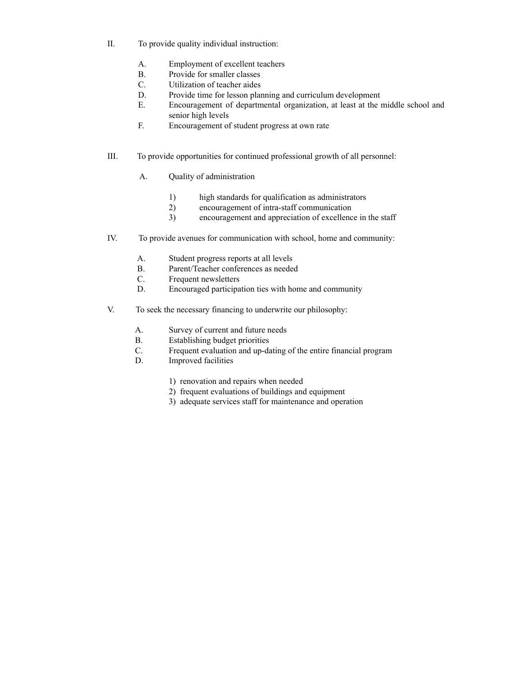- II. To provide quality individual instruction:
	- A. Employment of excellent teachers
	- B. Provide for smaller classes
	- C. Utilization of teacher aides
	- D. Provide time for lesson planning and curriculum development
	- E. Encouragement of departmental organization, at least at the middle school and senior high levels
	- F. Encouragement of student progress at own rate
- III. To provide opportunities for continued professional growth of all personnel:
	- A. Quality of administration
		- 1) high standards for qualification as administrators
		- 2) encouragement of intra-staff communication
		- 3) encouragement and appreciation of excellence in the staff
- IV. To provide avenues for communication with school, home and community:
	- A. Student progress reports at all levels
	- B. Parent/Teacher conferences as needed
	- C. Frequent newsletters
	- D. Encouraged participation ties with home and community
- V. To seek the necessary financing to underwrite our philosophy:
	- A. Survey of current and future needs
	- B. Establishing budget priorities
	- C. Frequent evaluation and up-dating of the entire financial program
	- D. Improved facilities
		- 1) renovation and repairs when needed
		- 2) frequent evaluations of buildings and equipment
		- 3) adequate services staff for maintenance and operation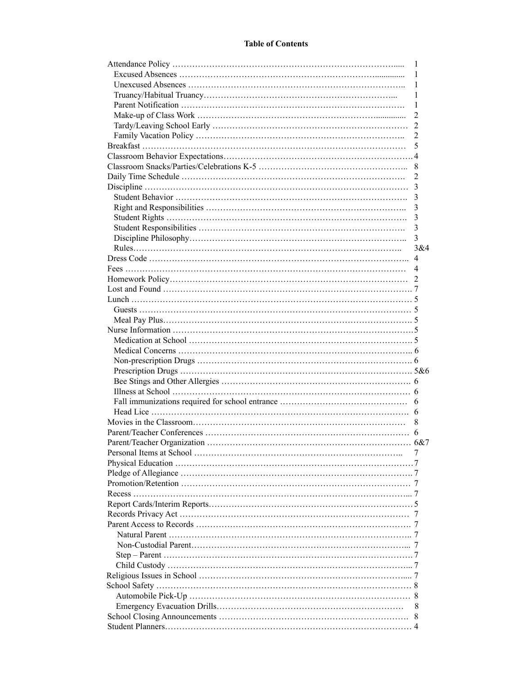#### **Table of Contents**

| 1                       |
|-------------------------|
|                         |
| 1                       |
|                         |
|                         |
| 2                       |
| 5                       |
|                         |
|                         |
|                         |
|                         |
|                         |
|                         |
|                         |
|                         |
| $\overline{\mathbf{3}}$ |
|                         |
|                         |
|                         |
|                         |
|                         |
|                         |
|                         |
|                         |
|                         |
|                         |
|                         |
|                         |
|                         |
|                         |
|                         |
|                         |
|                         |
|                         |
|                         |
|                         |
|                         |
|                         |
|                         |
|                         |
|                         |
|                         |
|                         |
|                         |
|                         |
|                         |
|                         |
|                         |
|                         |
|                         |
|                         |
|                         |
|                         |
|                         |
| 8                       |
|                         |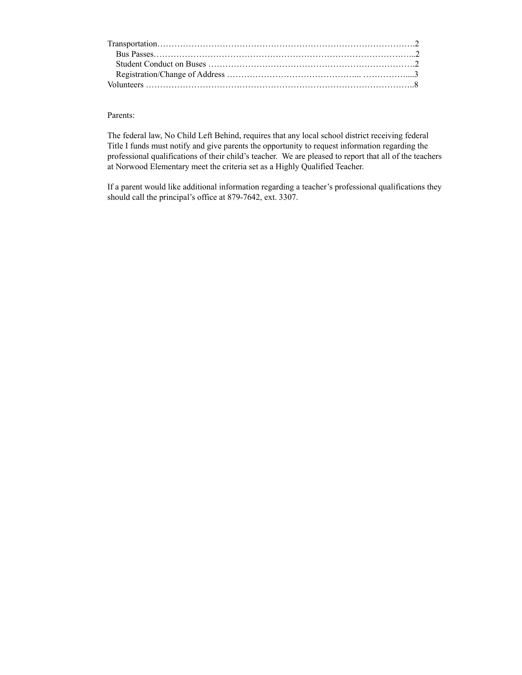#### Parents:

The federal law, No Child Left Behind, requires that any local school district receiving federal Title I funds must notify and give parents the opportunity to request information regarding the professional qualifications of their child's teacher. We are pleased to report that all of the teachers at Norwood Elementary meet the criteria set as a Highly Qualified Teacher.

If a parent would like additional information regarding a teacher's professional qualifications they should call the principal's office at 879-7642, ext. 3307.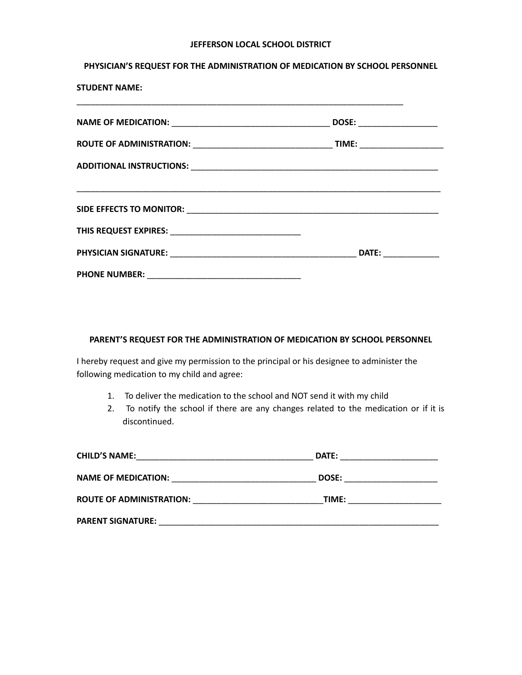#### **JEFFERSON LOCAL SCHOOL DISTRICT**

#### **PHYSICIAN'S REQUEST FOR THE ADMINISTRATION OF MEDICATION BY SCHOOL PERSONNEL**

**STUDENT NAME:**

| DOSE: _______________                 |
|---------------------------------------|
| TIME: _____________________           |
|                                       |
|                                       |
|                                       |
| DATE: <b>William Property Service</b> |
|                                       |

#### **PARENT'S REQUEST FOR THE ADMINISTRATION OF MEDICATION BY SCHOOL PERSONNEL**

I hereby request and give my permission to the principal or his designee to administer the following medication to my child and agree:

- 1. To deliver the medication to the school and NOT send it with my child
- 2. To notify the school if there are any changes related to the medication or if it is discontinued.

| <b>CHILD'S NAME:</b>            | DATE: |  |
|---------------------------------|-------|--|
| <b>NAME OF MEDICATION:</b>      | DOSE: |  |
| <b>ROUTE OF ADMINISTRATION:</b> | TIME: |  |
| <b>PARENT SIGNATURE:</b>        |       |  |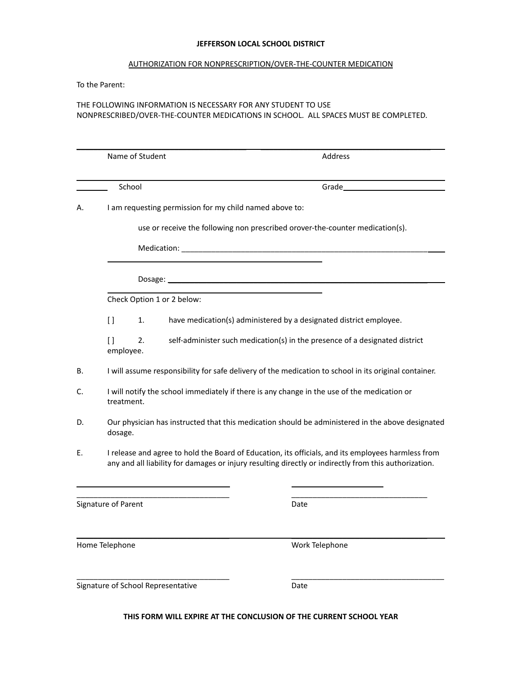#### **JEFFERSON LOCAL SCHOOL DISTRICT**

#### AUTHORIZATION FOR NONPRESCRIPTION/OVER-THE-COUNTER MEDICATION

To the Parent:

#### THE FOLLOWING INFORMATION IS NECESSARY FOR ANY STUDENT TO USE NONPRESCRIBED/OVER-THE-COUNTER MEDICATIONS IN SCHOOL. ALL SPACES MUST BE COMPLETED.

|    | Name of Student           |                                                         | Address                                                                                                                                                                                                     |
|----|---------------------------|---------------------------------------------------------|-------------------------------------------------------------------------------------------------------------------------------------------------------------------------------------------------------------|
|    | School                    |                                                         | Grade <b>Canadian Canadian Canadian Canadian Canadian Canadian Canadian Canadian Canadian Canadian Canadian Canadian</b>                                                                                    |
| А. |                           | I am requesting permission for my child named above to: |                                                                                                                                                                                                             |
|    |                           |                                                         | use or receive the following non prescribed orover-the-counter medication(s).                                                                                                                               |
|    |                           |                                                         |                                                                                                                                                                                                             |
|    |                           |                                                         |                                                                                                                                                                                                             |
|    |                           | Check Option 1 or 2 below:                              |                                                                                                                                                                                                             |
|    | $\Box$<br>1.              |                                                         | have medication(s) administered by a designated district employee.                                                                                                                                          |
|    | $\Box$<br>2.<br>employee. |                                                         | self-administer such medication(s) in the presence of a designated district                                                                                                                                 |
| В. |                           |                                                         | I will assume responsibility for safe delivery of the medication to school in its original container.                                                                                                       |
| C. | treatment.                |                                                         | I will notify the school immediately if there is any change in the use of the medication or                                                                                                                 |
| D. | dosage.                   |                                                         | Our physician has instructed that this medication should be administered in the above designated                                                                                                            |
| Е. |                           |                                                         | I release and agree to hold the Board of Education, its officials, and its employees harmless from<br>any and all liability for damages or injury resulting directly or indirectly from this authorization. |
|    | Signature of Parent       |                                                         | Date                                                                                                                                                                                                        |
|    | Home Telephone            |                                                         | Work Telephone                                                                                                                                                                                              |
|    |                           | Signature of School Representative                      | Date                                                                                                                                                                                                        |

#### **THIS FORM WILL EXPIRE AT THE CONCLUSION OF THE CURRENT SCHOOL YEAR**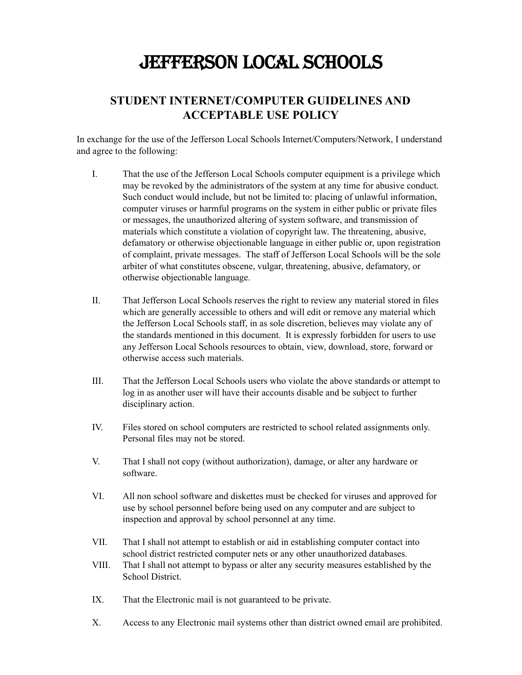# JEFFERSON LOCAL SCHOOLS

# **STUDENT INTERNET/COMPUTER GUIDELINES AND ACCEPTABLE USE POLICY**

In exchange for the use of the Jefferson Local Schools Internet/Computers/Network, I understand and agree to the following:

- I. That the use of the Jefferson Local Schools computer equipment is a privilege which may be revoked by the administrators of the system at any time for abusive conduct. Such conduct would include, but not be limited to: placing of unlawful information, computer viruses or harmful programs on the system in either public or private files or messages, the unauthorized altering of system software, and transmission of materials which constitute a violation of copyright law. The threatening, abusive, defamatory or otherwise objectionable language in either public or, upon registration of complaint, private messages. The staff of Jefferson Local Schools will be the sole arbiter of what constitutes obscene, vulgar, threatening, abusive, defamatory, or otherwise objectionable language.
- II. That Jefferson Local Schools reserves the right to review any material stored in files which are generally accessible to others and will edit or remove any material which the Jefferson Local Schools staff, in as sole discretion, believes may violate any of the standards mentioned in this document. It is expressly forbidden for users to use any Jefferson Local Schools resources to obtain, view, download, store, forward or otherwise access such materials.
- III. That the Jefferson Local Schools users who violate the above standards or attempt to log in as another user will have their accounts disable and be subject to further disciplinary action.
- IV. Files stored on school computers are restricted to school related assignments only. Personal files may not be stored.
- V. That I shall not copy (without authorization), damage, or alter any hardware or software.
- VI. All non school software and diskettes must be checked for viruses and approved for use by school personnel before being used on any computer and are subject to inspection and approval by school personnel at any time.
- VII. That I shall not attempt to establish or aid in establishing computer contact into school district restricted computer nets or any other unauthorized databases.
- VIII. That I shall not attempt to bypass or alter any security measures established by the School District.
- IX. That the Electronic mail is not guaranteed to be private.
- X. Access to any Electronic mail systems other than district owned email are prohibited.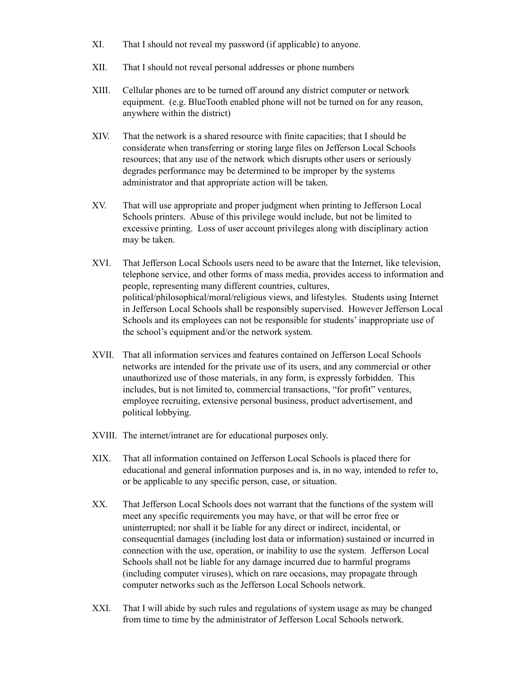- XI. That I should not reveal my password (if applicable) to anyone.
- XII. That I should not reveal personal addresses or phone numbers
- XIII. Cellular phones are to be turned off around any district computer or network equipment. (e.g. BlueTooth enabled phone will not be turned on for any reason, anywhere within the district)
- XIV. That the network is a shared resource with finite capacities; that I should be considerate when transferring or storing large files on Jefferson Local Schools resources; that any use of the network which disrupts other users or seriously degrades performance may be determined to be improper by the systems administrator and that appropriate action will be taken.
- XV. That will use appropriate and proper judgment when printing to Jefferson Local Schools printers. Abuse of this privilege would include, but not be limited to excessive printing. Loss of user account privileges along with disciplinary action may be taken.
- XVI. That Jefferson Local Schools users need to be aware that the Internet, like television, telephone service, and other forms of mass media, provides access to information and people, representing many different countries, cultures, political/philosophical/moral/religious views, and lifestyles. Students using Internet in Jefferson Local Schools shall be responsibly supervised. However Jefferson Local Schools and its employees can not be responsible for students' inappropriate use of the school's equipment and/or the network system.
- XVII. That all information services and features contained on Jefferson Local Schools networks are intended for the private use of its users, and any commercial or other unauthorized use of those materials, in any form, is expressly forbidden. This includes, but is not limited to, commercial transactions, "for profit" ventures, employee recruiting, extensive personal business, product advertisement, and political lobbying.
- XVIII. The internet/intranet are for educational purposes only.
- XIX. That all information contained on Jefferson Local Schools is placed there for educational and general information purposes and is, in no way, intended to refer to, or be applicable to any specific person, case, or situation.
- XX. That Jefferson Local Schools does not warrant that the functions of the system will meet any specific requirements you may have, or that will be error free or uninterrupted; nor shall it be liable for any direct or indirect, incidental, or consequential damages (including lost data or information) sustained or incurred in connection with the use, operation, or inability to use the system. Jefferson Local Schools shall not be liable for any damage incurred due to harmful programs (including computer viruses), which on rare occasions, may propagate through computer networks such as the Jefferson Local Schools network.
- XXI. That I will abide by such rules and regulations of system usage as may be changed from time to time by the administrator of Jefferson Local Schools network.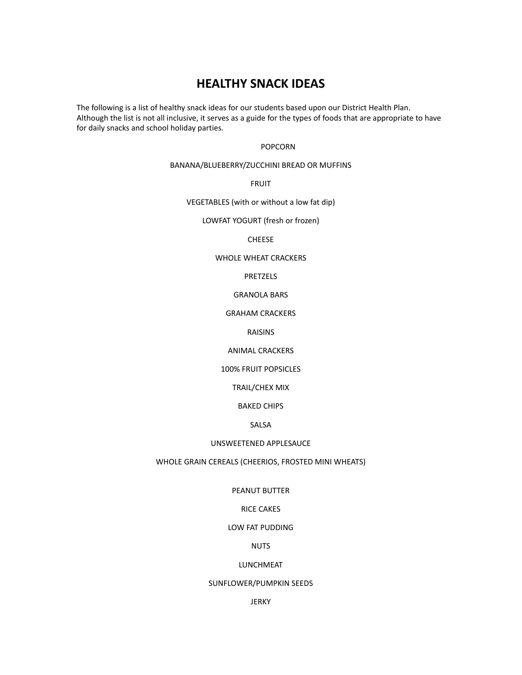# **HEALTHY SNACK IDEAS**

The following is a list of healthy snack ideas for our students based upon our District Health Plan. Although the list is not all inclusive, it serves as a guide for the types of foods that are appropriate to have for daily snacks and school holiday parties.

#### POPCORN

#### BANANA/BLUEBERRY/ZUCCHINI BREAD OR MUFFINS

FRUIT

VEGETABLES (with or without a low fat dip)

LOWFAT YOGURT (fresh or frozen)

#### CHEESE

#### WHOLE WHEAT CRACKERS

#### PRETZELS

#### GRANOLA BARS

#### GRAHAM CRACKERS

#### RAISINS

#### ANIMAL CRACKERS

#### 100% FRUIT POPSICLES

#### TRAIL/CHEX MIX

#### BAKED CHIPS

#### SALSA

#### UNSWEETENED APPLESAUCE

#### WHOLE GRAIN CEREALS (CHEERIOS, FROSTED MINI WHEATS)

#### PEANUT BUTTER

#### RICE CAKES

#### LOW FAT PUDDING

#### NUTS

#### LUNCHMEAT

#### SUNFLOWER/PUMPKIN SEEDS

#### JERKY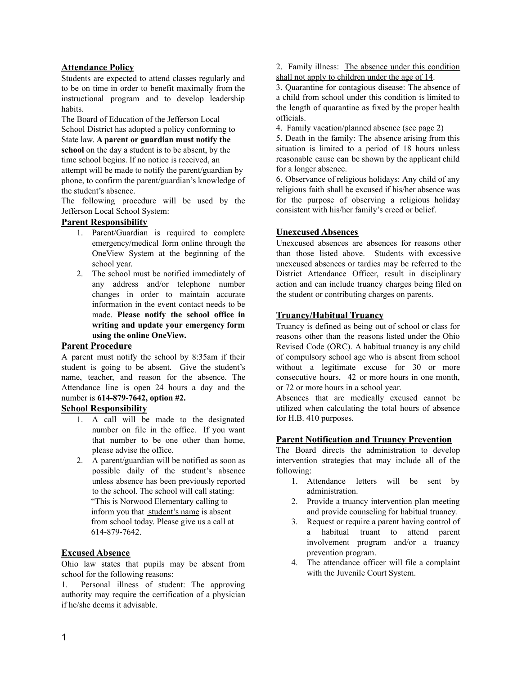#### **Attendance Policy**

Students are expected to attend classes regularly and to be on time in order to benefit maximally from the instructional program and to develop leadership habits.

The Board of Education of the Jefferson Local School District has adopted a policy conforming to State law. **A parent or guardian must notify the school** on the day a student is to be absent, by the time school begins. If no notice is received, an attempt will be made to notify the parent/guardian by phone, to confirm the parent/guardian's knowledge of the student's absence.

The following procedure will be used by the Jefferson Local School System:

#### **Parent Responsibility**

- 1. Parent/Guardian is required to complete emergency/medical form online through the OneView System at the beginning of the school year.
- 2. The school must be notified immediately of any address and/or telephone number changes in order to maintain accurate information in the event contact needs to be made. **Please notify the school office in writing and update your emergency form using the online OneView.**

#### **Parent Procedure**

A parent must notify the school by 8:35am if their student is going to be absent. Give the student's name, teacher, and reason for the absence. The Attendance line is open 24 hours a day and the number is **614-879-7642, option #2.**

#### **School Responsibility**

- 1. A call will be made to the designated number on file in the office. If you want that number to be one other than home, please advise the office.
- 2. A parent/guardian will be notified as soon as possible daily of the student's absence unless absence has been previously reported to the school. The school will call stating: "This is Norwood Elementary calling to inform you that student's name is absent from school today. Please give us a call at 614-879-7642.

#### **Excused Absence**

Ohio law states that pupils may be absent from school for the following reasons:

1. Personal illness of student: The approving authority may require the certification of a physician if he/she deems it advisable.

2. Family illness: The absence under this condition shall not apply to children under the age of 14.

3. Quarantine for contagious disease: The absence of a child from school under this condition is limited to the length of quarantine as fixed by the proper health officials.

4. Family vacation/planned absence (see page 2)

5. Death in the family: The absence arising from this situation is limited to a period of 18 hours unless reasonable cause can be shown by the applicant child for a longer absence.

6. Observance of religious holidays: Any child of any religious faith shall be excused if his/her absence was for the purpose of observing a religious holiday consistent with his/her family's creed or belief.

#### **Unexcused Absences**

Unexcused absences are absences for reasons other than those listed above. Students with excessive unexcused absences or tardies may be referred to the District Attendance Officer, result in disciplinary action and can include truancy charges being filed on the student or contributing charges on parents.

#### **Truancy/Habitual Truancy**

Truancy is defined as being out of school or class for reasons other than the reasons listed under the Ohio Revised Code (ORC). A habitual truancy is any child of compulsory school age who is absent from school without a legitimate excuse for 30 or more consecutive hours, 42 or more hours in one month, or 72 or more hours in a school year.

Absences that are medically excused cannot be utilized when calculating the total hours of absence for H.B. 410 purposes.

#### **Parent Notification and Truancy Prevention**

The Board directs the administration to develop intervention strategies that may include all of the following:

- 1. Attendance letters will be sent by administration.
- 2. Provide a truancy intervention plan meeting and provide counseling for habitual truancy.
- 3. Request or require a parent having control of a habitual truant to attend parent involvement program and/or a truancy prevention program.
- 4. The attendance officer will file a complaint with the Juvenile Court System.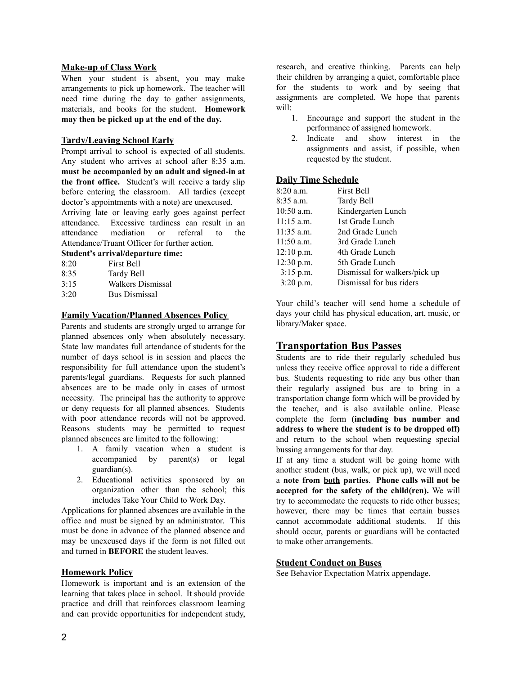#### **Make-up of Class Work**

When your student is absent, you may make arrangements to pick up homework. The teacher will need time during the day to gather assignments, materials, and books for the student. **Homework may then be picked up at the end of the day.**

#### **Tardy/Leaving School Early**

Prompt arrival to school is expected of all students. Any student who arrives at school after 8:35 a.m. **must be accompanied by an adult and signed-in at the front office.** Student's will receive a tardy slip before entering the classroom. All tardies (except doctor's appointments with a note) are unexcused.

Arriving late or leaving early goes against perfect attendance. Excessive tardiness can result in an attendance mediation or referral to the Attendance/Truant Officer for further action.

#### **Student's arrival/departure time:**

| 8.20 | <b>First Bell</b>    |
|------|----------------------|
| 8:35 | Tardy Bell           |
| 3.15 | Walkers Dismissal    |
| 3:20 | <b>Bus Dismissal</b> |

#### **Family Vacation/Planned Absences Policy**

Parents and students are strongly urged to arrange for planned absences only when absolutely necessary. State law mandates full attendance of students for the number of days school is in session and places the responsibility for full attendance upon the student's parents/legal guardians. Requests for such planned absences are to be made only in cases of utmost necessity. The principal has the authority to approve or deny requests for all planned absences. Students with poor attendance records will not be approved. Reasons students may be permitted to request planned absences are limited to the following:

- 1. A family vacation when a student is accompanied by parent(s) or legal guardian(s).
- 2. Educational activities sponsored by an organization other than the school; this includes Take Your Child to Work Day.

Applications for planned absences are available in the office and must be signed by an administrator. This must be done in advance of the planned absence and may be unexcused days if the form is not filled out and turned in **BEFORE** the student leaves.

#### **Homework Policy**

Homework is important and is an extension of the learning that takes place in school. It should provide practice and drill that reinforces classroom learning and can provide opportunities for independent study, research, and creative thinking. Parents can help their children by arranging a quiet, comfortable place for the students to work and by seeing that assignments are completed. We hope that parents will:

- 1. Encourage and support the student in the performance of assigned homework.
- 2. Indicate and show interest in the assignments and assist, if possible, when requested by the student.

#### **Daily Time Schedule**

| 8:20 a.m.    | <b>First Bell</b>             |
|--------------|-------------------------------|
| 8:35 a.m.    | <b>Tardy Bell</b>             |
| $10:50$ a.m. | Kindergarten Lunch            |
| $11:15$ a.m. | 1st Grade Lunch               |
| $11:35$ a.m. | 2nd Grade Lunch               |
| $11:50$ a.m. | 3rd Grade Lunch               |
| $12:10$ p.m. | 4th Grade Lunch               |
| 12:30 p.m.   | 5th Grade Lunch               |
| $3:15$ p.m.  | Dismissal for walkers/pick up |
| 3:20 p.m.    | Dismissal for bus riders      |

Your child's teacher will send home a schedule of days your child has physical education, art, music, or library/Maker space.

# **Transportation Bus Passes**

Students are to ride their regularly scheduled bus unless they receive office approval to ride a different bus. Students requesting to ride any bus other than their regularly assigned bus are to bring in a transportation change form which will be provided by the teacher, and is also available online. Please complete the form **(including bus number and address to where the student is to be dropped off)** and return to the school when requesting special bussing arrangements for that day.

If at any time a student will be going home with another student (bus, walk, or pick up), we will need a **note from both parties**. **Phone calls will not be accepted for the safety of the child(ren).** We will try to accommodate the requests to ride other busses; however, there may be times that certain busses cannot accommodate additional students. If this should occur, parents or guardians will be contacted to make other arrangements.

#### **Student Conduct on Buses**

See Behavior Expectation Matrix appendage.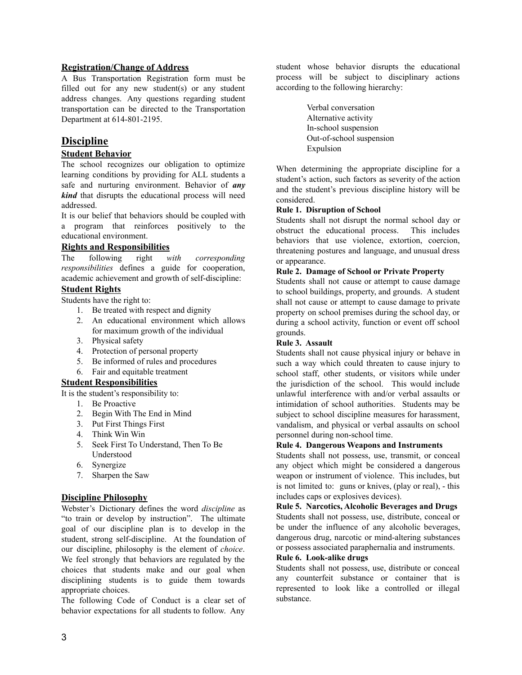#### **Registration/Change of Address**

A Bus Transportation Registration form must be filled out for any new student(s) or any student address changes. Any questions regarding student transportation can be directed to the Transportation Department at 614-801-2195.

## **Discipline**

#### **Student Behavior**

The school recognizes our obligation to optimize learning conditions by providing for ALL students a safe and nurturing environment. Behavior of *any kind* that disrupts the educational process will need addressed.

It is our belief that behaviors should be coupled with a program that reinforces positively to the educational environment.

#### **Rights and Responsibilities**

The following right *with corresponding responsibilities* defines a guide for cooperation, academic achievement and growth of self-discipline:

#### **Student Rights**

Students have the right to:

- 1. Be treated with respect and dignity
- 2. An educational environment which allows for maximum growth of the individual
- 3. Physical safety
- 4. Protection of personal property
- 5. Be informed of rules and procedures
- 6. Fair and equitable treatment

#### **Student Responsibilities**

It is the student's responsibility to:

- 1. Be Proactive
- 2. Begin With The End in Mind
- 3. Put First Things First
- 4. Think Win Win
- 5. Seek First To Understand, Then To Be Understood
- 6. Synergize
- 7. Sharpen the Saw

#### **Discipline Philosophy**

Webster's Dictionary defines the word *discipline* as "to train or develop by instruction". The ultimate goal of our discipline plan is to develop in the student, strong self-discipline. At the foundation of our discipline, philosophy is the element of *choice*. We feel strongly that behaviors are regulated by the choices that students make and our goal when disciplining students is to guide them towards appropriate choices.

The following Code of Conduct is a clear set of behavior expectations for all students to follow. Any

student whose behavior disrupts the educational process will be subject to disciplinary actions according to the following hierarchy:

> Verbal conversation Alternative activity In-school suspension Out-of-school suspension Expulsion

When determining the appropriate discipline for a student's action, such factors as severity of the action and the student's previous discipline history will be considered.

#### **Rule 1. Disruption of School**

Students shall not disrupt the normal school day or obstruct the educational process. This includes behaviors that use violence, extortion, coercion, threatening postures and language, and unusual dress or appearance.

#### **Rule 2. Damage of School or Private Property**

Students shall not cause or attempt to cause damage to school buildings, property, and grounds. A student shall not cause or attempt to cause damage to private property on school premises during the school day, or during a school activity, function or event off school grounds.

#### **Rule 3. Assault**

Students shall not cause physical injury or behave in such a way which could threaten to cause injury to school staff, other students, or visitors while under the jurisdiction of the school. This would include unlawful interference with and/or verbal assaults or intimidation of school authorities. Students may be subject to school discipline measures for harassment, vandalism, and physical or verbal assaults on school personnel during non-school time.

#### **Rule 4. Dangerous Weapons and Instruments**

Students shall not possess, use, transmit, or conceal any object which might be considered a dangerous weapon or instrument of violence. This includes, but is not limited to: guns or knives, (play or real), - this includes caps or explosives devices).

**Rule 5. Narcotics, Alcoholic Beverages and Drugs** Students shall not possess, use, distribute, conceal or be under the influence of any alcoholic beverages, dangerous drug, narcotic or mind-altering substances or possess associated paraphernalia and instruments.

#### **Rule 6. Look-alike drugs**

Students shall not possess, use, distribute or conceal any counterfeit substance or container that is represented to look like a controlled or illegal substance.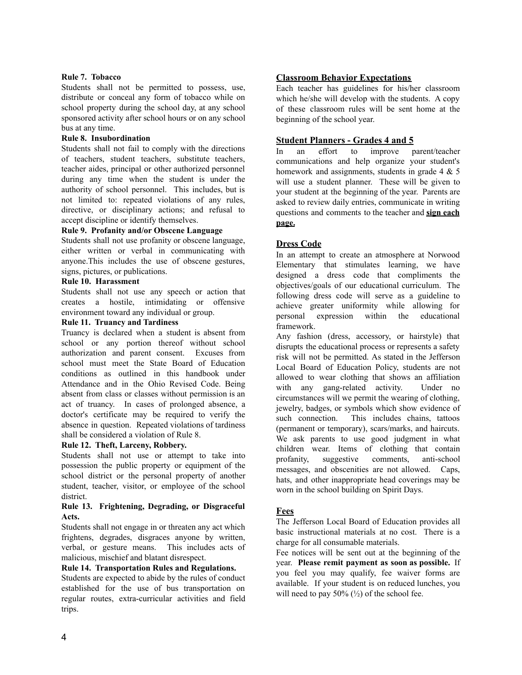#### **Rule 7. Tobacco**

Students shall not be permitted to possess, use, distribute or conceal any form of tobacco while on school property during the school day, at any school sponsored activity after school hours or on any school bus at any time.

#### **Rule 8. Insubordination**

Students shall not fail to comply with the directions of teachers, student teachers, substitute teachers, teacher aides, principal or other authorized personnel during any time when the student is under the authority of school personnel. This includes, but is not limited to: repeated violations of any rules, directive, or disciplinary actions; and refusal to accept discipline or identify themselves.

#### **Rule 9. Profanity and/or Obscene Language**

Students shall not use profanity or obscene language, either written or verbal in communicating with anyone.This includes the use of obscene gestures, signs, pictures, or publications.

#### **Rule 10. Harassment**

Students shall not use any speech or action that creates a hostile, intimidating or offensive environment toward any individual or group.

#### **Rule 11. Truancy and Tardiness**

Truancy is declared when a student is absent from school or any portion thereof without school authorization and parent consent. Excuses from school must meet the State Board of Education conditions as outlined in this handbook under Attendance and in the Ohio Revised Code. Being absent from class or classes without permission is an act of truancy. In cases of prolonged absence, a doctor's certificate may be required to verify the absence in question. Repeated violations of tardiness shall be considered a violation of Rule 8.

#### **Rule 12. Theft, Larceny, Robbery.**

Students shall not use or attempt to take into possession the public property or equipment of the school district or the personal property of another student, teacher, visitor, or employee of the school district.

#### **Rule 13. Frightening, Degrading, or Disgraceful Acts.**

Students shall not engage in or threaten any act which frightens, degrades, disgraces anyone by written, verbal, or gesture means. This includes acts of malicious, mischief and blatant disrespect.

#### **Rule 14. Transportation Rules and Regulations.**

Students are expected to abide by the rules of conduct established for the use of bus transportation on regular routes, extra-curricular activities and field trips.

#### **Classroom Behavior Expectations**

Each teacher has guidelines for his/her classroom which he/she will develop with the students. A copy of these classroom rules will be sent home at the beginning of the school year.

#### **Student Planners - Grades 4 and 5**

In an effort to improve parent/teacher communications and help organize your student's homework and assignments, students in grade  $4 \& 5$ will use a student planner. These will be given to your student at the beginning of the year. Parents are asked to review daily entries, communicate in writing questions and comments to the teacher and **sign each page.**

#### **Dress Code**

In an attempt to create an atmosphere at Norwood Elementary that stimulates learning, we have designed a dress code that compliments the objectives/goals of our educational curriculum. The following dress code will serve as a guideline to achieve greater uniformity while allowing for personal expression within the educational framework.

Any fashion (dress, accessory, or hairstyle) that disrupts the educational process or represents a safety risk will not be permitted. As stated in the Jefferson Local Board of Education Policy, students are not allowed to wear clothing that shows an affiliation with any gang-related activity. Under no circumstances will we permit the wearing of clothing, jewelry, badges, or symbols which show evidence of such connection. This includes chains, tattoos (permanent or temporary), scars/marks, and haircuts. We ask parents to use good judgment in what children wear. Items of clothing that contain profanity, suggestive comments, anti-school messages, and obscenities are not allowed. Caps, hats, and other inappropriate head coverings may be worn in the school building on Spirit Days.

#### **Fees**

The Jefferson Local Board of Education provides all basic instructional materials at no cost. There is a charge for all consumable materials.

Fee notices will be sent out at the beginning of the year. **Please remit payment as soon as possible.** If you feel you may qualify, fee waiver forms are available. If your student is on reduced lunches, you will need to pay  $50\%$  ( $\frac{1}{2}$ ) of the school fee.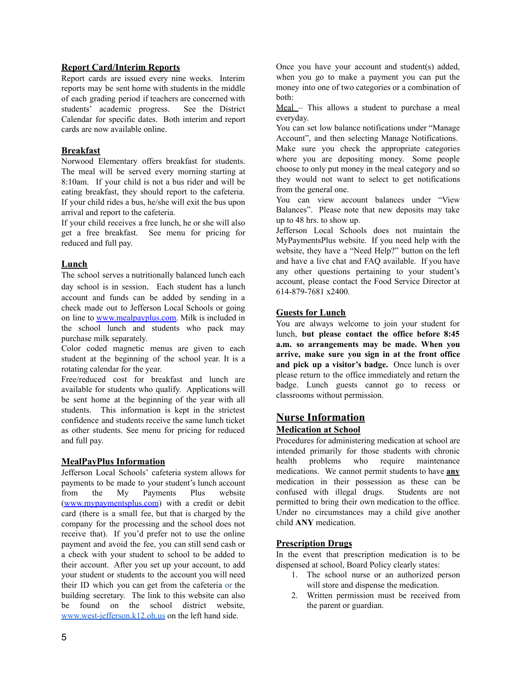#### **Report Card/Interim Reports**

Report cards are issued every nine weeks. Interim reports may be sent home with students in the middle of each grading period if teachers are concerned with students' academic progress. See the District Calendar for specific dates. Both interim and report cards are now available online.

#### **Breakfast**

Norwood Elementary offers breakfast for students. The meal will be served every morning starting at 8:10am. If your child is not a bus rider and will be eating breakfast, they should report to the cafeteria. If your child rides a bus, he/she will exit the bus upon arrival and report to the cafeteria.

If your child receives a free lunch, he or she will also get a free breakfast. See menu for pricing for reduced and full pay.

#### **Lunch**

The school serves a nutritionally balanced lunch each day school is in session. Each student has a lunch account and funds can be added by sending in a check made out to Jefferson Local Schools or going on line to [www.mealpayplus.com.](http://www.mealpayplus.com) Milk is included in the school lunch and students who pack may purchase milk separately.

Color coded magnetic menus are given to each student at the beginning of the school year. It is a rotating calendar for the year.

Free/reduced cost for breakfast and lunch are available for students who qualify. Applications will be sent home at the beginning of the year with all students. This information is kept in the strictest confidence and students receive the same lunch ticket as other students. See menu for pricing for reduced and full pay.

#### **MealPayPlus Information**

Jefferson Local Schools' cafeteria system allows for payments to be made to your student's lunch account from the My Payments Plus website [\(www.mypaymentsplus.com](http://www.mypaymentsplus.com)) with a credit or debit card (there is a small fee, but that is charged by the company for the processing and the school does not receive that). If you'd prefer not to use the online payment and avoid the fee, you can still send cash or a check with your student to school to be added to their account. After you set up your account, to add your student or students to the account you will need their ID which you can get from the cafeteria or the building secretary. The link to this website can also be found on the school district website, [www.west-jefferson.k12.oh.us](http://www.west-jefferson.k12.oh.us) on the left hand side.

Once you have your account and student(s) added, when you go to make a payment you can put the money into one of two categories or a combination of both:

Meal – This allows a student to purchase a meal everyday.

You can set low balance notifications under "Manage Account", and then selecting Manage Notifications. Make sure you check the appropriate categories where you are depositing money. Some people choose to only put money in the meal category and so they would not want to select to get notifications from the general one.

You can view account balances under "View Balances". Please note that new deposits may take up to 48 hrs. to show up.

Jefferson Local Schools does not maintain the MyPaymentsPlus website. If you need help with the website, they have a "Need Help?" button on the left and have a live chat and FAQ available. If you have any other questions pertaining to your student's account, please contact the Food Service Director at 614-879-7681 x2400.

#### **Guests for Lunch**

You are always welcome to join your student for lunch, **but please contact the office before 8:45 a.m. so arrangements may be made. When you arrive, make sure you sign in at the front office and pick up a visitor's badge.** Once lunch is over please return to the office immediately and return the badge. Lunch guests cannot go to recess or classrooms without permission.

### **Nurse Information**

#### **Medication at School**

Procedures for administering medication at school are intended primarily for those students with chronic health problems who require maintenance medications. We cannot permit students to have **any** medication in their possession as these can be confused with illegal drugs. Students are not permitted to bring their own medication to the office. Under no circumstances may a child give another child **ANY** medication.

#### **Prescription Drugs**

In the event that prescription medication is to be dispensed at school, Board Policy clearly states:

- 1. The school nurse or an authorized person will store and dispense the medication.
- 2. Written permission must be received from the parent or guardian.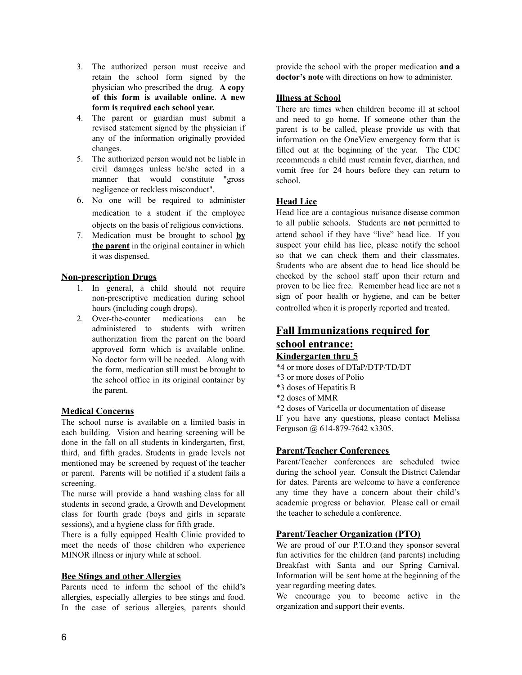- 3. The authorized person must receive and retain the school form signed by the physician who prescribed the drug. **A copy of this form is available online. A new form is required each school year.**
- 4. The parent or guardian must submit a revised statement signed by the physician if any of the information originally provided changes.
- 5. The authorized person would not be liable in civil damages unless he/she acted in a manner that would constitute "gross negligence or reckless misconduct".
- 6. No one will be required to administer medication to a student if the employee objects on the basis of religious convictions.
- 7. Medication must be brought to school **by the parent** in the original container in which it was dispensed.

### **Non-prescription Drugs**

- 1. In general, a child should not require non-prescriptive medication during school hours (including cough drops).
- 2. Over-the-counter medications can be administered to students with written authorization from the parent on the board approved form which is available online. No doctor form will be needed. Along with the form, medication still must be brought to the school office in its original container by the parent.

### **Medical Concerns**

The school nurse is available on a limited basis in each building. Vision and hearing screening will be done in the fall on all students in kindergarten, first, third, and fifth grades. Students in grade levels not mentioned may be screened by request of the teacher or parent. Parents will be notified if a student fails a screening.

The nurse will provide a hand washing class for all students in second grade, a Growth and Development class for fourth grade (boys and girls in separate sessions), and a hygiene class for fifth grade.

There is a fully equipped Health Clinic provided to meet the needs of those children who experience MINOR illness or injury while at school.

#### **Bee Stings and other Allergies**

Parents need to inform the school of the child's allergies, especially allergies to bee stings and food. In the case of serious allergies, parents should provide the school with the proper medication **and a doctor's note** with directions on how to administer.

#### **Illness at School**

There are times when children become ill at school and need to go home. If someone other than the parent is to be called, please provide us with that information on the OneView emergency form that is filled out at the beginning of the year. The CDC recommends a child must remain fever, diarrhea, and vomit free for 24 hours before they can return to school.

### **Head Lice**

Head lice are a contagious nuisance disease common to all public schools. Students are **not** permitted to attend school if they have "live" head lice. If you suspect your child has lice, please notify the school so that we can check them and their classmates Students who are absent due to head lice should be checked by the school staff upon their return and proven to be lice free. Remember head lice are not a sign of poor health or hygiene, and can be better controlled when it is properly reported and treated.

# **Fall Immunizations required for school entrance: Kindergarten thru 5**

- \*4 or more doses of DTaP/DTP/TD/DT
- \*3 or more doses of Polio
- \*3 doses of Hepatitis B
- \*2 doses of MMR

\*2 doses of Varicella or documentation of disease If you have any questions, please contact Melissa Ferguson @ 614-879-7642 x3305.

#### **Parent/Teacher Conferences**

Parent/Teacher conferences are scheduled twice during the school year. Consult the District Calendar for dates. Parents are welcome to have a conference any time they have a concern about their child's academic progress or behavior. Please call or email the teacher to schedule a conference.

#### **Parent/Teacher Organization (PTO)**

We are proud of our P.T.O.and they sponsor several fun activities for the children (and parents) including Breakfast with Santa and our Spring Carnival. Information will be sent home at the beginning of the year regarding meeting dates.

We encourage you to become active in the organization and support their events.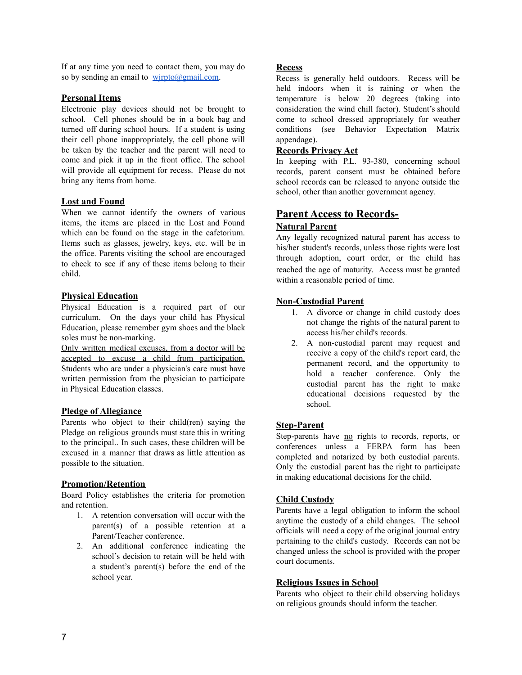If at any time you need to contact them, you may do so by sending an email to  $wirpto@gmail.com$ .

#### **Personal Items**

Electronic play devices should not be brought to school. Cell phones should be in a book bag and turned off during school hours. If a student is using their cell phone inappropriately, the cell phone will be taken by the teacher and the parent will need to come and pick it up in the front office. The school will provide all equipment for recess. Please do not bring any items from home.

#### **Lost and Found**

When we cannot identify the owners of various items, the items are placed in the Lost and Found which can be found on the stage in the cafetorium. Items such as glasses, jewelry, keys, etc. will be in the office. Parents visiting the school are encouraged to check to see if any of these items belong to their child.

#### **Physical Education**

Physical Education is a required part of our curriculum. On the days your child has Physical Education, please remember gym shoes and the black soles must be non-marking.

Only written medical excuses, from a doctor will be accepted to excuse a child from participation. Students who are under a physician's care must have written permission from the physician to participate in Physical Education classes.

#### **Pledge of Allegiance**

Parents who object to their child(ren) saying the Pledge on religious grounds must state this in writing to the principal.. In such cases, these children will be excused in a manner that draws as little attention as possible to the situation.

#### **Promotion/Retention**

Board Policy establishes the criteria for promotion and retention.

- 1. A retention conversation will occur with the parent(s) of a possible retention at a Parent/Teacher conference.
- 2. An additional conference indicating the school's decision to retain will be held with a student's parent(s) before the end of the school year.

#### **Recess**

Recess is generally held outdoors. Recess will be held indoors when it is raining or when the temperature is below 20 degrees (taking into consideration the wind chill factor). Student's should come to school dressed appropriately for weather conditions (see Behavior Expectation Matrix appendage).

#### **Records Privacy Act**

In keeping with P.L. 93-380, concerning school records, parent consent must be obtained before school records can be released to anyone outside the school, other than another government agency.

#### **Parent Access to Records-Natural Parent**

Any legally recognized natural parent has access to his/her student's records, unless those rights were lost through adoption, court order, or the child has reached the age of maturity. Access must be granted within a reasonable period of time.

#### **Non-Custodial Parent**

- 1. A divorce or change in child custody does not change the rights of the natural parent to access his/her child's records.
- 2. A non-custodial parent may request and receive a copy of the child's report card, the permanent record, and the opportunity to hold a teacher conference. Only the custodial parent has the right to make educational decisions requested by the school.

#### **Step-Parent**

Step-parents have no rights to records, reports, or conferences unless a FERPA form has been completed and notarized by both custodial parents. Only the custodial parent has the right to participate in making educational decisions for the child.

#### **Child Custody**

Parents have a legal obligation to inform the school anytime the custody of a child changes. The school officials will need a copy of the original journal entry pertaining to the child's custody. Records can not be changed unless the school is provided with the proper court documents.

#### **Religious Issues in School**

Parents who object to their child observing holidays on religious grounds should inform the teacher.